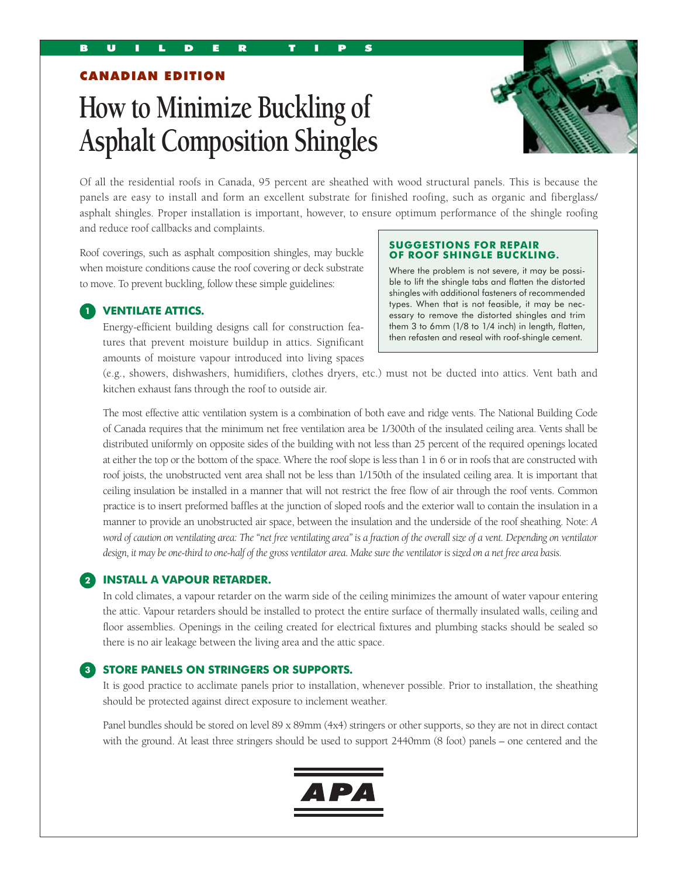CANADIAN EDITION

# **How to Minimize Buckling of Asphalt Composition Shingles**



Of all the residential roofs in Canada, 95 percent are sheathed with wood structural panels. This is because the panels are easy to install and form an excellent substrate for finished roofing, such as organic and fiberglass/ asphalt shingles. Proper installation is important, however, to ensure optimum performance of the shingle roofing and reduce roof callbacks and complaints.

Roof coverings, such as asphalt composition shingles, may buckle when moisture conditions cause the roof covering or deck substrate to move. To prevent buckling, follow these simple guidelines:

#### **SUGGESTIONS FOR REPAIR OF ROOF SHINGLE BUCKLING.**

Where the problem is not severe, it may be possible to lift the shingle tabs and flatten the distorted shingles with additional fasteners of recommended types. When that is not feasible, it may be necessary to remove the distorted shingles and trim them 3 to 6mm (1/8 to 1/4 inch) in length, flatten, then refasten and reseal with roof-shingle cement.

## **1 VENTILATE ATTICS.**

 Energy-efficient building designs call for construction features that prevent moisture buildup in attics. Significant amounts of moisture vapour introduced into living spaces

(e.g., showers, dishwashers, humidifiers, clothes dryers, etc.) must not be ducted into attics. Vent bath and kitchen exhaust fans through the roof to outside air.

 The most effective attic ventilation system is a combination of both eave and ridge vents. The National Building Code of Canada requires that the minimum net free ventilation area be 1/300th of the insulated ceiling area. Vents shall be distributed uniformly on opposite sides of the building with not less than 25 percent of the required openings located at either the top or the bottom of the space. Where the roof slope is less than 1 in 6 or in roofs that are constructed with roof joists, the unobstructed vent area shall not be less than 1/150th of the insulated ceiling area. It is important that ceiling insulation be installed in a manner that will not restrict the free flow of air through the roof vents. Common practice is to insert preformed baffles at the junction of sloped roofs and the exterior wall to contain the insulation in a manner to provide an unobstructed air space, between the insulation and the underside of the roof sheathing. Note: *A word of caution on ventilating area: The "net free ventilating area" is a fraction of the overall size of a vent. Depending on ventilator design, it may be one-third to one-half of the gross ventilator area. Make sure the ventilator is sized on a net free area basis.*

#### **2 INSTALL A VAPOUR RETARDER.**

 In cold climates, a vapour retarder on the warm side of the ceiling minimizes the amount of water vapour entering the attic. Vapour retarders should be installed to protect the entire surface of thermally insulated walls, ceiling and floor assemblies. Openings in the ceiling created for electrical fixtures and plumbing stacks should be sealed so there is no air leakage between the living area and the attic space.

#### **3 STORE PANELS ON STRINGERS OR SUPPORTS.**

 It is good practice to acclimate panels prior to installation, whenever possible. Prior to installation, the sheathing should be protected against direct exposure to inclement weather.

 Panel bundles should be stored on level 89 x 89mm (4x4) stringers or other supports, so they are not in direct contact with the ground. At least three stringers should be used to support 2440mm (8 foot) panels – one centered and the